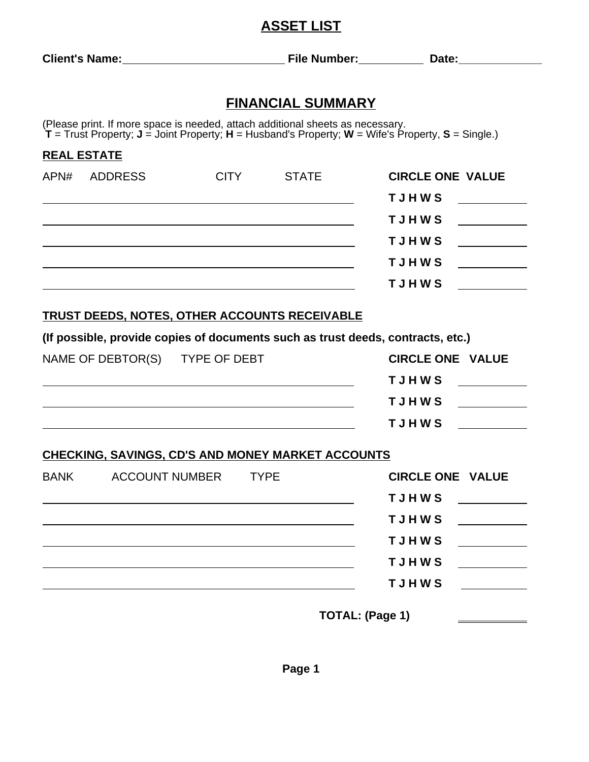### **ASSET LIST**

| <b>Client's Name:</b> | <b>File Number:</b> | Date: |
|-----------------------|---------------------|-------|
|                       |                     |       |

### **FINANCIAL SUMMARY**

(Please print. If more space is needed, attach additional sheets as necessary. **T** = Trust Property; **J** = Joint Property; **H** = Husband's Property; **W** = Wife's Property, **S** = Single.)

| <b>REAL ESTATE</b> |         |             |              |                         |  |
|--------------------|---------|-------------|--------------|-------------------------|--|
| APN#               | ADDRESS | <b>CITY</b> | <b>STATE</b> | <b>CIRCLE ONE VALUE</b> |  |
|                    |         |             |              | <b>TJHWS</b>            |  |
|                    |         |             |              | <b>TJHWS</b>            |  |
|                    |         |             |              | <b>TJHWS</b>            |  |
|                    |         |             |              | <b>TJHWS</b>            |  |
|                    |         |             |              | <b>TJHWS</b>            |  |

#### **TRUST DEEDS, NOTES, OTHER ACCOUNTS RECEIVABLE**

**(If possible, provide copies of documents such as trust deeds, contracts, etc.)**

| NAME OF DEBTOR(S) TYPE OF DEBT | <b>CIRCLE ONE VALUE</b> |  |
|--------------------------------|-------------------------|--|
|                                | <b>TJHWS</b>            |  |
|                                | <b>TJHWS</b>            |  |
|                                | <b>TJHWS</b>            |  |

#### **CHECKING, SAVINGS, CD'S AND MONEY MARKET ACCOUNTS**

| <b>BANK</b> | <b>ACCOUNT NUMBER</b> | <b>TYPE</b> |                 | <b>CIRCLE ONE VALUE</b> |
|-------------|-----------------------|-------------|-----------------|-------------------------|
|             |                       |             | <b>TJHWS</b>    |                         |
|             |                       |             | <b>TJHWS</b>    |                         |
|             |                       |             | <b>TJHWS</b>    |                         |
|             |                       |             | <b>TJHWS</b>    |                         |
|             |                       |             | <b>TJHWS</b>    |                         |
|             |                       |             | TOTAL: (Page 1) |                         |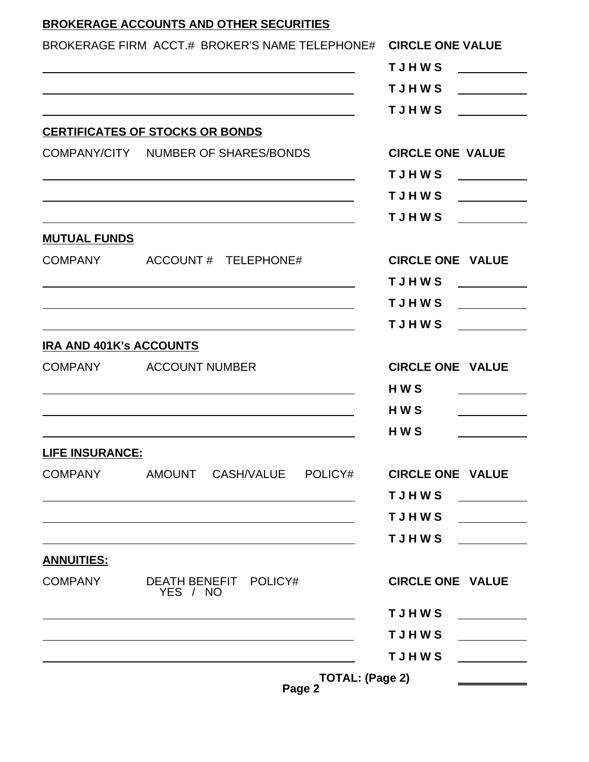## **BROKERAGE ACCOUNTS AND OTHER SECURITIES**

|                                | BROKERAGE FIRM ACCT.# BROKER'S NAME TELEPHONE# CIRCLE ONE VALUE                                                       |                                                                                                                                                                                                                                                      |
|--------------------------------|-----------------------------------------------------------------------------------------------------------------------|------------------------------------------------------------------------------------------------------------------------------------------------------------------------------------------------------------------------------------------------------|
|                                |                                                                                                                       | <b>TJHWS</b>                                                                                                                                                                                                                                         |
|                                | <u> 1989 - Johann Barbara, martxa alemaniar argumento de la contrada de la contrada de la contrada de la contrada</u> | <b>TJHWS</b>                                                                                                                                                                                                                                         |
|                                | <u> 1989 - Johann Stoff, amerikansk politiker (d. 1989)</u>                                                           | <b>TJHWS</b><br><u> 1989 - Jan Barbara III, president p</u>                                                                                                                                                                                          |
|                                | <b>CERTIFICATES OF STOCKS OR BONDS</b>                                                                                |                                                                                                                                                                                                                                                      |
|                                | COMPANY/CITY NUMBER OF SHARES/BONDS                                                                                   | <b>CIRCLE ONE VALUE</b>                                                                                                                                                                                                                              |
|                                |                                                                                                                       | <b>TJHWS</b><br><u> 1990 - Jan Barnett, p</u>                                                                                                                                                                                                        |
|                                | and the control of the control of the control of the control of the control of the control of the control of the      | <b>TJHWS</b><br><u>a sa salawan</u>                                                                                                                                                                                                                  |
|                                |                                                                                                                       | <b>TJHWS</b>                                                                                                                                                                                                                                         |
| <b>MUTUAL FUNDS</b>            |                                                                                                                       |                                                                                                                                                                                                                                                      |
|                                | COMPANY ACCOUNT# TELEPHONE#                                                                                           | <b>CIRCLE ONE VALUE</b>                                                                                                                                                                                                                              |
|                                |                                                                                                                       | <b>TJHWS</b>                                                                                                                                                                                                                                         |
|                                |                                                                                                                       | <b>TJHWS</b>                                                                                                                                                                                                                                         |
|                                |                                                                                                                       | <b>TJHWS</b>                                                                                                                                                                                                                                         |
| <b>IRA AND 401K's ACCOUNTS</b> |                                                                                                                       |                                                                                                                                                                                                                                                      |
|                                | COMPANY ACCOUNT NUMBER                                                                                                | <b>CIRCLE ONE VALUE</b>                                                                                                                                                                                                                              |
|                                |                                                                                                                       | <b>HWS</b>                                                                                                                                                                                                                                           |
|                                | <u> 1989 - Johann Stein, mars an deus Amerikaansk kommunister (* 1958)</u>                                            | HW <sub>S</sub>                                                                                                                                                                                                                                      |
|                                |                                                                                                                       | HW <sub>S</sub>                                                                                                                                                                                                                                      |
| <b>LIFE INSURANCE:</b>         |                                                                                                                       |                                                                                                                                                                                                                                                      |
|                                | COMPANY AMOUNT CASH/VALUE POLICY#                                                                                     | <b>CIRCLE ONE VALUE</b>                                                                                                                                                                                                                              |
|                                |                                                                                                                       | <b>TJHWS</b>                                                                                                                                                                                                                                         |
|                                | <u> 1989 - Andrea Barbara, amerikan basar dan berasal dalam berasal dalam basa dalam berasal dalam berasal dalam</u>  | <b>TJHWS</b>                                                                                                                                                                                                                                         |
|                                | <u> 1989 - Johann Stoff, deutscher Stoff, der Stoff, der Stoff, der Stoff, der Stoff, der Stoff, der Stoff, der S</u> | <b>TJHWS</b>                                                                                                                                                                                                                                         |
| <b>ANNUITIES:</b>              |                                                                                                                       |                                                                                                                                                                                                                                                      |
| COMPANY                        | DEATH BENEFIT POLICY#<br>YES / NO                                                                                     | <b>CIRCLE ONE VALUE</b>                                                                                                                                                                                                                              |
|                                | <u> 1989 - Johann Barbara, martin amerikan basar dan berasal dalam basa dalam basar dalam basar dalam basar dala</u>  | TJHWS _________                                                                                                                                                                                                                                      |
|                                |                                                                                                                       | <b>TJHWS</b>                                                                                                                                                                                                                                         |
|                                |                                                                                                                       | <b>TJHWS</b><br><u> Albanya di Barat Barat Barat Barat Barat Barat Barat Barat Barat Barat Barat Barat Barat Barat Barat Barat Barat Barat Barat Barat Barat Barat Barat Barat Barat Barat Barat Barat Barat Barat Barat Barat Barat Barat Barat</u> |
|                                | TOTAL: (Page 2)                                                                                                       | <u> a shekara ta 1989 a shekara ta 1989 a shekara ta 1989 a shekara ta 1989 a shekara ta 1989 a shekara ta 1989 a</u>                                                                                                                                |

**Page 2**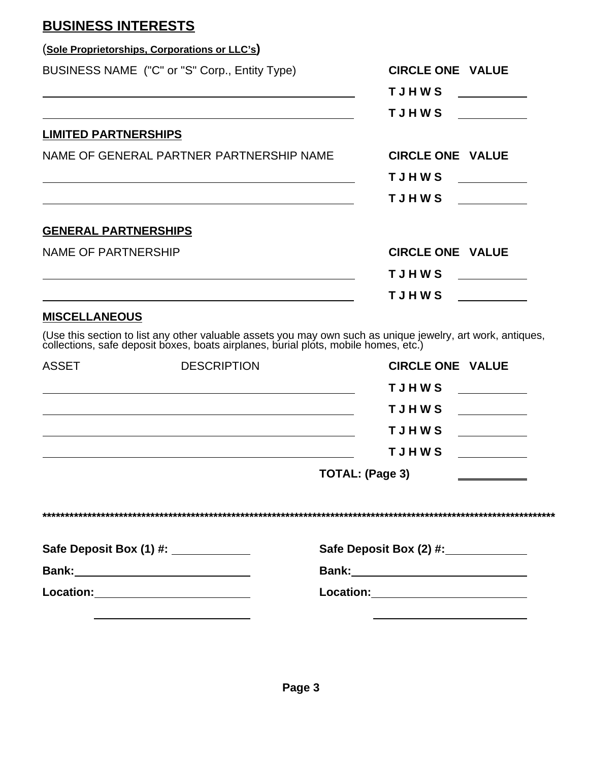## **BUSINESS INTERESTS**

|                             | (Sole Proprietorships, Corporations or LLC's)                                                                                                                                                                                 |                         |
|-----------------------------|-------------------------------------------------------------------------------------------------------------------------------------------------------------------------------------------------------------------------------|-------------------------|
|                             | BUSINESS NAME ("C" or "S" Corp., Entity Type)                                                                                                                                                                                 | <b>CIRCLE ONE VALUE</b> |
|                             |                                                                                                                                                                                                                               | <b>TJHWS</b>            |
|                             |                                                                                                                                                                                                                               | <b>TJHWS</b>            |
| <b>LIMITED PARTNERSHIPS</b> |                                                                                                                                                                                                                               |                         |
|                             | NAME OF GENERAL PARTNER PARTNERSHIP NAME                                                                                                                                                                                      | <b>CIRCLE ONE VALUE</b> |
|                             |                                                                                                                                                                                                                               | <b>TJHWS</b>            |
|                             |                                                                                                                                                                                                                               | <b>TJHWS</b>            |
| <b>GENERAL PARTNERSHIPS</b> |                                                                                                                                                                                                                               |                         |
| <b>NAME OF PARTNERSHIP</b>  |                                                                                                                                                                                                                               | <b>CIRCLE ONE VALUE</b> |
|                             |                                                                                                                                                                                                                               | <b>TJHWS</b>            |
|                             |                                                                                                                                                                                                                               | <b>TJHWS</b>            |
| <b>MISCELLANEOUS</b>        |                                                                                                                                                                                                                               |                         |
|                             | (Use this section to list any other valuable assets you may own such as unique jewelry, art work, antiques, collections, safe deposit boxes, boats airplanes, burial plots, mobile homes, etc.)                               |                         |
| <b>ASSET</b>                | <b>DESCRIPTION</b>                                                                                                                                                                                                            | <b>CIRCLE ONE VALUE</b> |
|                             |                                                                                                                                                                                                                               | <b>TJHWS</b>            |
|                             |                                                                                                                                                                                                                               | <b>TJHWS</b>            |
|                             | the control of the control of the control of the control of the control of the control of the control of the control of the control of the control of the control of the control of the control of the control of the control | <b>TJHWS</b>            |
|                             |                                                                                                                                                                                                                               |                         |

|              | <b>TJHWS</b>                 |  |
|--------------|------------------------------|--|
|              | TOTAL: (Page 3)              |  |
|              |                              |  |
|              | Safe Deposit Box (2) #: 2000 |  |
| <b>Bank:</b> | <b>Bank:</b>                 |  |
| Location:    | <b>Location:</b>             |  |